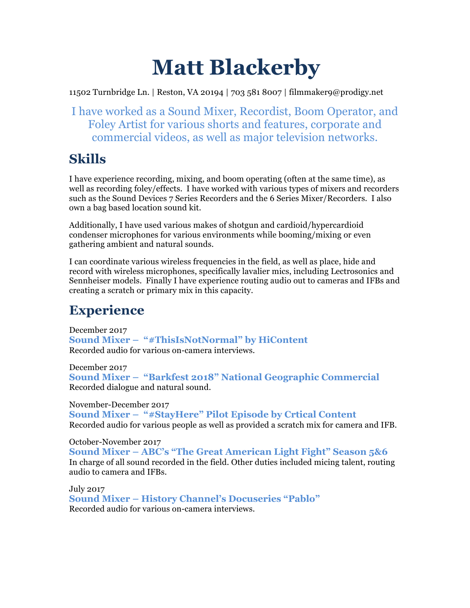# **Matt Blackerby**

11502 Turnbridge Ln. | Reston, VA 20194 | 703 581 8007 | filmmaker9@prodigy.net

I have worked as a Sound Mixer, Recordist, Boom Operator, and Foley Artist for various shorts and features, corporate and commercial videos, as well as major television networks.

# **Skills**

I have experience recording, mixing, and boom operating (often at the same time), as well as recording foley/effects. I have worked with various types of mixers and recorders such as the Sound Devices 7 Series Recorders and the 6 Series Mixer/Recorders. I also own a bag based location sound kit.

Additionally, I have used various makes of shotgun and cardioid/hypercardioid condenser microphones for various environments while booming/mixing or even gathering ambient and natural sounds.

I can coordinate various wireless frequencies in the field, as well as place, hide and record with wireless microphones, specifically lavalier mics, including Lectrosonics and Sennheiser models. Finally I have experience routing audio out to cameras and IFBs and creating a scratch or primary mix in this capacity.

# **Experience**

December 2017 **Sound Mixer – "#ThisIsNotNormal" by HiContent** Recorded audio for various on-camera interviews.

December 2017 **Sound Mixer – "Barkfest 2018" National Geographic Commercial** Recorded dialogue and natural sound.

November-December 2017 **Sound Mixer – "#StayHere" Pilot Episode by Crtical Content** Recorded audio for various people as well as provided a scratch mix for camera and IFB.

October-November 2017 **Sound Mixer – ABC's "The Great American Light Fight" Season 5&6** In charge of all sound recorded in the field. Other duties included micing talent, routing audio to camera and IFBs.

July 2017 **Sound Mixer – History Channel's Docuseries "Pablo"** Recorded audio for various on-camera interviews.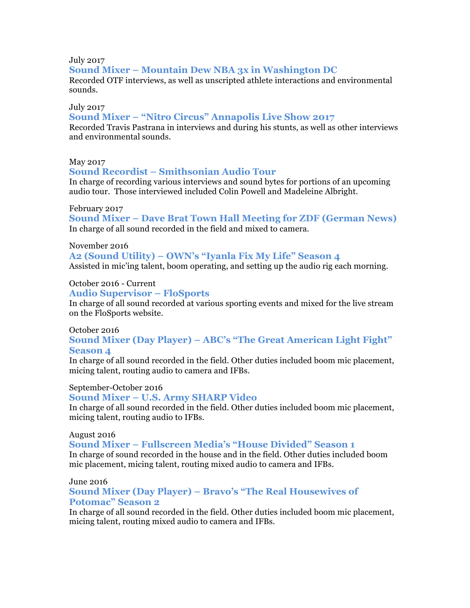July 2017 **Sound Mixer – Mountain Dew NBA 3x in Washington DC** Recorded OTF interviews, as well as unscripted athlete interactions and environmental sounds.

#### July 2017

#### **Sound Mixer – "Nitro Circus" Annapolis Live Show 2017**

Recorded Travis Pastrana in interviews and during his stunts, as well as other interviews and environmental sounds.

#### May 2017

#### **Sound Recordist – Smithsonian Audio Tour**

In charge of recording various interviews and sound bytes for portions of an upcoming audio tour. Those interviewed included Colin Powell and Madeleine Albright.

#### February 2017

**Sound Mixer – Dave Brat Town Hall Meeting for ZDF (German News)** In charge of all sound recorded in the field and mixed to camera.

#### November 2016

#### **A2 (Sound Utility) – OWN's "Iyanla Fix My Life" Season 4**

Assisted in mic'ing talent, boom operating, and setting up the audio rig each morning.

#### October 2016 - Current

### **Audio Supervisor – FloSports**

In charge of all sound recorded at various sporting events and mixed for the live stream on the FloSports website.

#### October 2016

# **Sound Mixer (Day Player) – ABC's "The Great American Light Fight" Season 4**

In charge of all sound recorded in the field. Other duties included boom mic placement, micing talent, routing audio to camera and IFBs.

#### September-October 2016

#### **Sound Mixer – U.S. Army SHARP Video**

In charge of all sound recorded in the field. Other duties included boom mic placement, micing talent, routing audio to IFBs.

#### August 2016

#### **Sound Mixer – Fullscreen Media's "House Divided" Season 1**

In charge of sound recorded in the house and in the field. Other duties included boom mic placement, micing talent, routing mixed audio to camera and IFBs.

#### June 2016

# **Sound Mixer (Day Player) – Bravo's "The Real Housewives of Potomac" Season 2**

In charge of all sound recorded in the field. Other duties included boom mic placement, micing talent, routing mixed audio to camera and IFBs.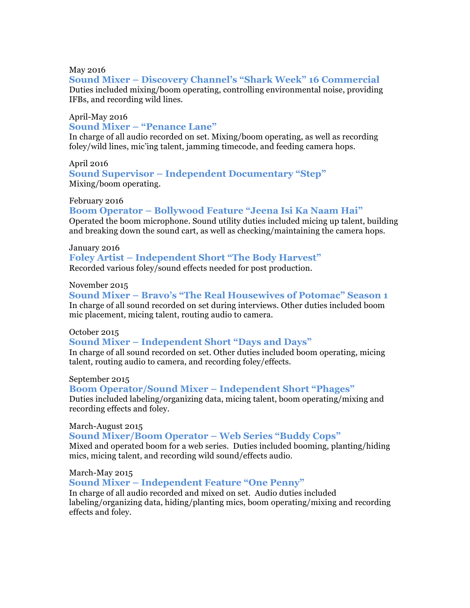#### May 2016

# **Sound Mixer – Discovery Channel's "Shark Week" 16 Commercial**

Duties included mixing/boom operating, controlling environmental noise, providing IFBs, and recording wild lines.

# April-May 2016 **Sound Mixer – "Penance Lane"**

In charge of all audio recorded on set. Mixing/boom operating, as well as recording foley/wild lines, mic'ing talent, jamming timecode, and feeding camera hops.

# April 2016 **Sound Supervisor – Independent Documentary "Step"**  Mixing/boom operating.

#### February 2016

# **Boom Operator – Bollywood Feature "Jeena Isi Ka Naam Hai"** Operated the boom microphone. Sound utility duties included micing up talent, building

and breaking down the sound cart, as well as checking/maintaining the camera hops.

#### January 2016

# **Foley Artist – Independent Short "The Body Harvest"**

Recorded various foley/sound effects needed for post production.

### November 2015

**Sound Mixer – Bravo's "The Real Housewives of Potomac" Season 1** In charge of all sound recorded on set during interviews. Other duties included boom mic placement, micing talent, routing audio to camera.

#### October 2015

# **Sound Mixer – Independent Short "Days and Days"**

In charge of all sound recorded on set. Other duties included boom operating, micing talent, routing audio to camera, and recording foley/effects.

#### September 2015

#### **Boom Operator/Sound Mixer – Independent Short "Phages"** Duties included labeling/organizing data, micing talent, boom operating/mixing and recording effects and foley.

#### March-August 2015

#### **Sound Mixer/Boom Operator – Web Series "Buddy Cops"**

Mixed and operated boom for a web series. Duties included booming, planting/hiding mics, micing talent, and recording wild sound/effects audio.

# March-May 2015

# **Sound Mixer – Independent Feature "One Penny"**

In charge of all audio recorded and mixed on set. Audio duties included labeling/organizing data, hiding/planting mics, boom operating/mixing and recording effects and foley.